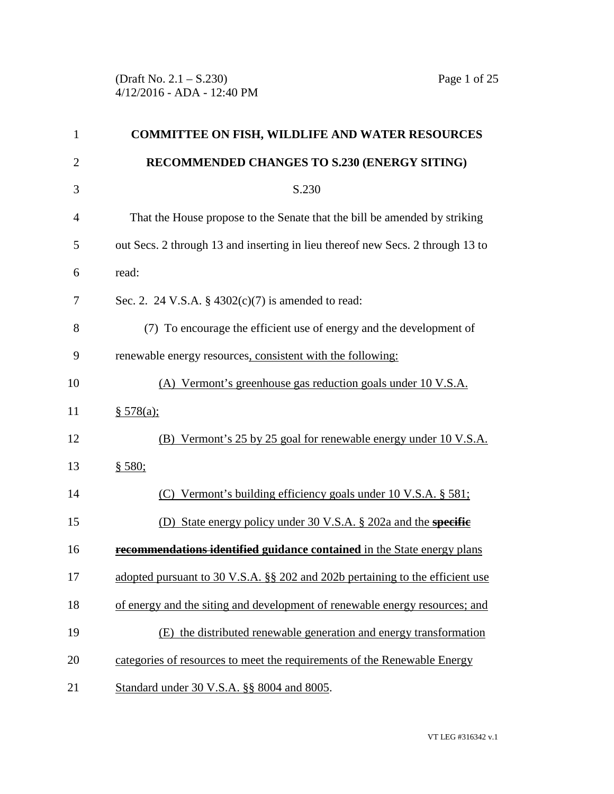(Draft No. 2.1 – S.230) Page 1 of 25 4/12/2016 - ADA - 12:40 PM

| 1              | <b>COMMITTEE ON FISH, WILDLIFE AND WATER RESOURCES</b>                         |
|----------------|--------------------------------------------------------------------------------|
| $\overline{2}$ | RECOMMENDED CHANGES TO S.230 (ENERGY SITING)                                   |
| 3              | S.230                                                                          |
| 4              | That the House propose to the Senate that the bill be amended by striking      |
| 5              | out Secs. 2 through 13 and inserting in lieu thereof new Secs. 2 through 13 to |
| 6              | read:                                                                          |
| 7              | Sec. 2. 24 V.S.A. § $4302(c)(7)$ is amended to read:                           |
| 8              | (7) To encourage the efficient use of energy and the development of            |
| 9              | renewable energy resources, consistent with the following:                     |
| 10             | (A) Vermont's greenhouse gas reduction goals under 10 V.S.A.                   |
| 11             | \$578(a);                                                                      |
| 12             | (B) Vermont's 25 by 25 goal for renewable energy under 10 V.S.A.               |
| 13             | § 580;                                                                         |
| 14             | (C) Vermont's building efficiency goals under 10 V.S.A. § 581;                 |
| 15             | State energy policy under 30 V.S.A. § 202a and the specific<br>(D)             |
| 16             | recommendations identified guidance contained in the State energy plans        |
| 17             | adopted pursuant to 30 V.S.A. §§ 202 and 202b pertaining to the efficient use  |
| 18             | of energy and the siting and development of renewable energy resources; and    |
| 19             | (E) the distributed renewable generation and energy transformation             |
| 20             | categories of resources to meet the requirements of the Renewable Energy       |
| 21             | Standard under 30 V.S.A. §§ 8004 and 8005.                                     |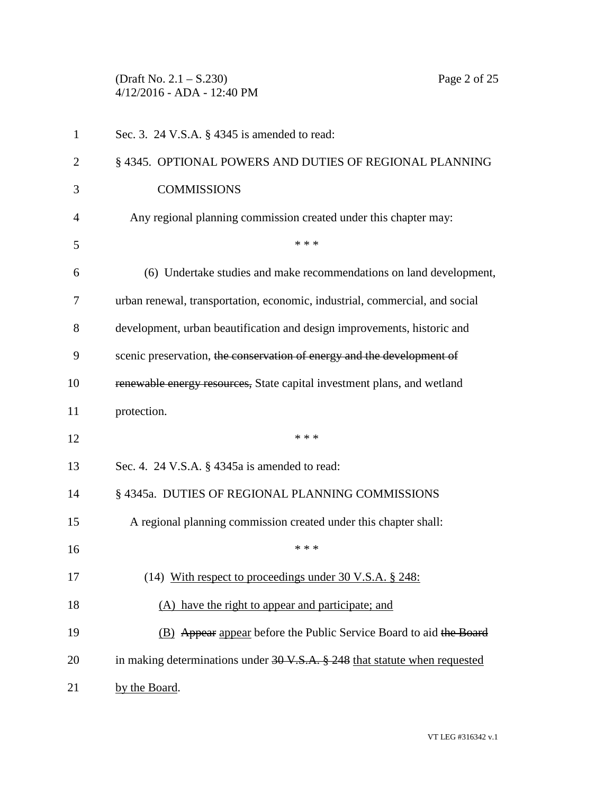(Draft No. 2.1 – S.230) Page 2 of 25 4/12/2016 - ADA - 12:40 PM

|                | $T/12/2010 = \Box D \Box = 12.70 \Box M$                         |  |
|----------------|------------------------------------------------------------------|--|
| $\overline{1}$ | Sec. 3. 24 V.S.A. $\S$ 4345 is amended to read:                  |  |
| 2              | § 4345. OPTIONAL POWERS AND DUTIES OF REGIONAL PLANNING          |  |
| 3              | <b>COMMISSIONS</b>                                               |  |
|                | Any regional planning commission created under this chapter may. |  |

| 3              | <b>COMMISSIONS</b>                                                                    |
|----------------|---------------------------------------------------------------------------------------|
| $\overline{4}$ | Any regional planning commission created under this chapter may:                      |
| 5              | * * *                                                                                 |
| 6              | (6) Undertake studies and make recommendations on land development,                   |
| 7              | urban renewal, transportation, economic, industrial, commercial, and social           |
| 8              | development, urban beautification and design improvements, historic and               |
| 9              | scenic preservation, the conservation of energy and the development of                |
| 10             | renewable energy resources, State capital investment plans, and wetland               |
| 11             | protection.                                                                           |
| 12             | * * *                                                                                 |
| 13             | Sec. 4. 24 V.S.A. § 4345a is amended to read:                                         |
| 14             | § 4345a. DUTIES OF REGIONAL PLANNING COMMISSIONS                                      |
| 15             | A regional planning commission created under this chapter shall:                      |
| 16             | * * *                                                                                 |
| 17             | (14) With respect to proceedings under 30 V.S.A. § 248:                               |
| 18             | (A) have the right to appear and participate; and                                     |
| 19             | (B) Appear appear before the Public Service Board to aid the Board                    |
| 20             | in making determinations under $30 \text{ V.S.A.}$ \$ 248 that statute when requested |
| 21             | by the Board.                                                                         |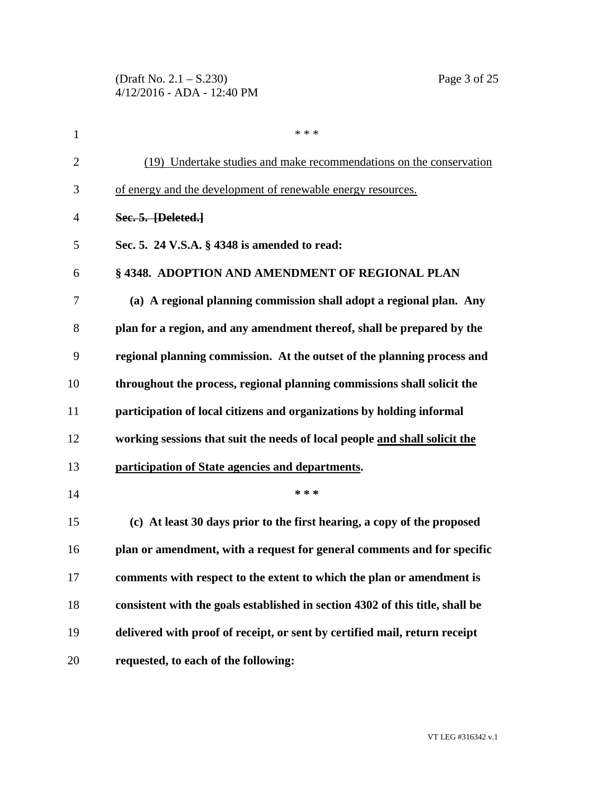| $\mathbf{1}$   | * * *                                                                         |
|----------------|-------------------------------------------------------------------------------|
| $\overline{2}$ | (19) Undertake studies and make recommendations on the conservation           |
| 3              | of energy and the development of renewable energy resources.                  |
| $\overline{4}$ | Sec. 5. [Deleted.]                                                            |
| 5              | Sec. 5. 24 V.S.A. § 4348 is amended to read:                                  |
| 6              | §4348. ADOPTION AND AMENDMENT OF REGIONAL PLAN                                |
| 7              | (a) A regional planning commission shall adopt a regional plan. Any           |
| 8              | plan for a region, and any amendment thereof, shall be prepared by the        |
| 9              | regional planning commission. At the outset of the planning process and       |
| 10             | throughout the process, regional planning commissions shall solicit the       |
| 11             | participation of local citizens and organizations by holding informal         |
| 12             | working sessions that suit the needs of local people and shall solicit the    |
| 13             | participation of State agencies and departments.                              |
| 14             | * * *                                                                         |
| 15             | (c) At least 30 days prior to the first hearing, a copy of the proposed       |
| 16             | plan or amendment, with a request for general comments and for specific       |
| 17             | comments with respect to the extent to which the plan or amendment is         |
| 18             | consistent with the goals established in section 4302 of this title, shall be |
| 19             | delivered with proof of receipt, or sent by certified mail, return receipt    |
| 20             | requested, to each of the following:                                          |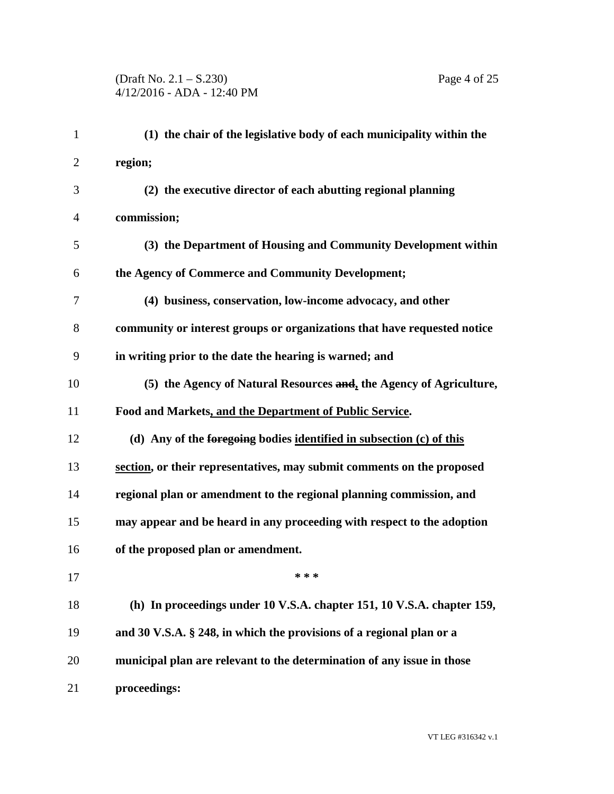| $\mathbf{1}$   | (1) the chair of the legislative body of each municipality within the    |
|----------------|--------------------------------------------------------------------------|
| $\overline{2}$ | region;                                                                  |
| 3              | (2) the executive director of each abutting regional planning            |
| $\overline{4}$ | commission;                                                              |
| 5              | (3) the Department of Housing and Community Development within           |
| 6              | the Agency of Commerce and Community Development;                        |
| 7              | (4) business, conservation, low-income advocacy, and other               |
| 8              | community or interest groups or organizations that have requested notice |
| 9              | in writing prior to the date the hearing is warned; and                  |
| 10             | (5) the Agency of Natural Resources and, the Agency of Agriculture,      |
| 11             | Food and Markets, and the Department of Public Service.                  |
| 12             | (d) Any of the foregoing bodies identified in subsection (c) of this     |
| 13             | section, or their representatives, may submit comments on the proposed   |
| 14             | regional plan or amendment to the regional planning commission, and      |
| 15             | may appear and be heard in any proceeding with respect to the adoption   |
| 16             | of the proposed plan or amendment.                                       |
| 17             | * * *                                                                    |
| 18             | (h) In proceedings under 10 V.S.A. chapter 151, 10 V.S.A. chapter 159,   |
| 19             | and 30 V.S.A. § 248, in which the provisions of a regional plan or a     |
| 20             | municipal plan are relevant to the determination of any issue in those   |
| 21             | proceedings:                                                             |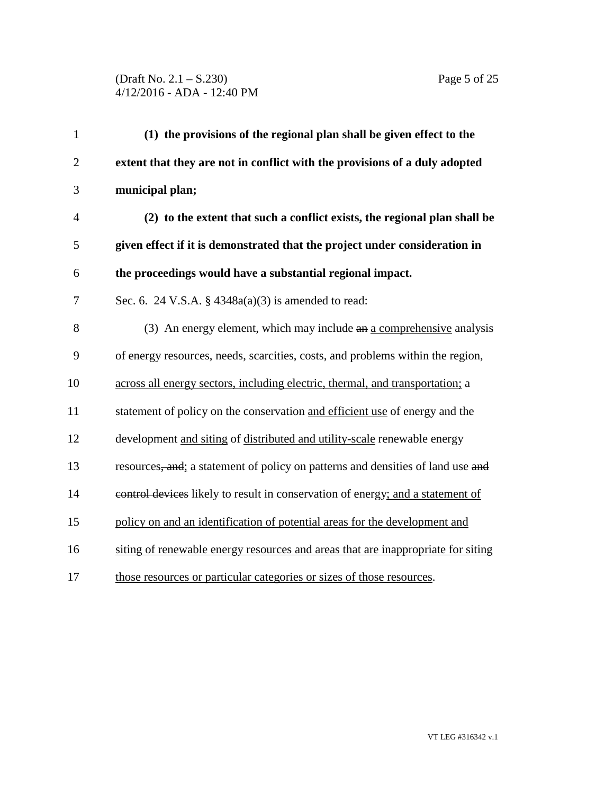(Draft No. 2.1 – S.230) Page 5 of 25 4/12/2016 - ADA - 12:40 PM

| $\mathbf{1}$   | (1) the provisions of the regional plan shall be given effect to the             |
|----------------|----------------------------------------------------------------------------------|
| $\overline{2}$ | extent that they are not in conflict with the provisions of a duly adopted       |
| 3              | municipal plan;                                                                  |
| $\overline{4}$ | (2) to the extent that such a conflict exists, the regional plan shall be        |
| 5              | given effect if it is demonstrated that the project under consideration in       |
| 6              | the proceedings would have a substantial regional impact.                        |
| $\tau$         | Sec. 6. 24 V.S.A. § $4348a(a)(3)$ is amended to read:                            |
| 8              | (3) An energy element, which may include an a comprehensive analysis             |
| $\mathbf{9}$   | of energy resources, needs, scarcities, costs, and problems within the region,   |
| 10             | across all energy sectors, including electric, thermal, and transportation; a    |
| 11             | statement of policy on the conservation and efficient use of energy and the      |
| 12             | development and siting of distributed and utility-scale renewable energy         |
| 13             | resources, and; a statement of policy on patterns and densities of land use and  |
| 14             | control devices likely to result in conservation of energy; and a statement of   |
| 15             | policy on and an identification of potential areas for the development and       |
| 16             | siting of renewable energy resources and areas that are inappropriate for siting |
| 17             | those resources or particular categories or sizes of those resources.            |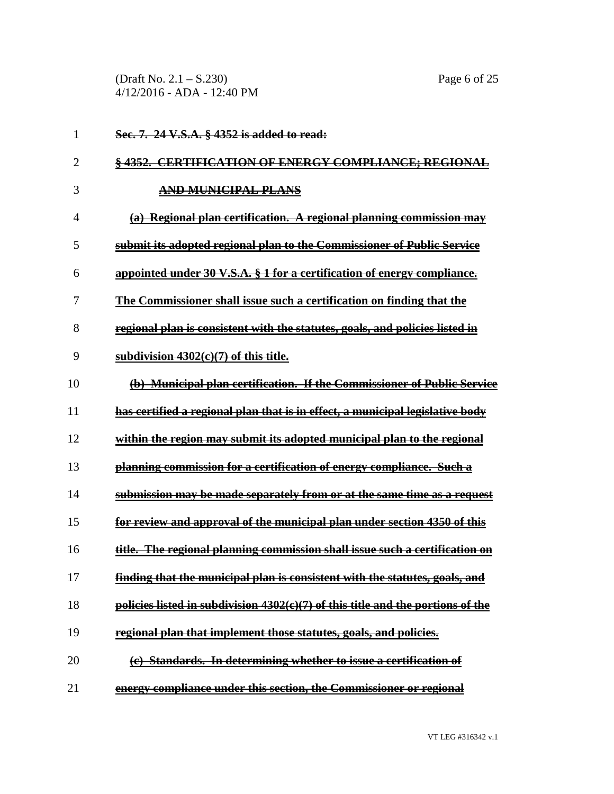(Draft No. 2.1 – S.230) Page 6 of 25 4/12/2016 - ADA - 12:40 PM

| 1              | Sec. 7. 24 V.S.A. § 4352 is added to read:                                          |
|----------------|-------------------------------------------------------------------------------------|
| $\overline{2}$ | <b>§4352. CERTIFICATION OF ENERGY COMPLIANCE; REGIONAL</b>                          |
| 3              | <b>AND MUNICIPAL PLANS</b>                                                          |
| 4              | (a) Regional plan certification. A regional planning commission may                 |
| 5              | submit its adopted regional plan to the Commissioner of Public Service              |
| 6              | appointed under 30 V.S.A. § 1 for a certification of energy compliance.             |
| 7              | The Commissioner shall issue such a certification on finding that the               |
| 8              | regional plan is consistent with the statutes, goals, and policies listed in        |
| 9              | subdivision $4302(e)(7)$ of this title.                                             |
| 10             | (b) Municipal plan certification. If the Commissioner of Public Service             |
| 11             | has certified a regional plan that is in effect, a municipal legislative body       |
| 12             | within the region may submit its adopted municipal plan to the regional             |
| 13             | planning commission for a certification of energy compliance. Such a                |
| 14             | submission may be made separately from or at the same time as a request             |
| 15             | for review and approval of the municipal plan under section 4350 of this            |
| 16             | title. The regional planning commission shall issue such a certification on         |
| 17             | <u>finding that the municipal plan is consistent with the statutes, goals, and </u> |
| 18             | policies listed in subdivision 4302(e)(7) of this title and the portions of the     |
| 19             | regional plan that implement those statutes, goals, and policies.                   |
| 20             | (c) Standards. In determining whether to issue a certification of                   |
| 21             | energy compliance under this section, the Commissioner or regional                  |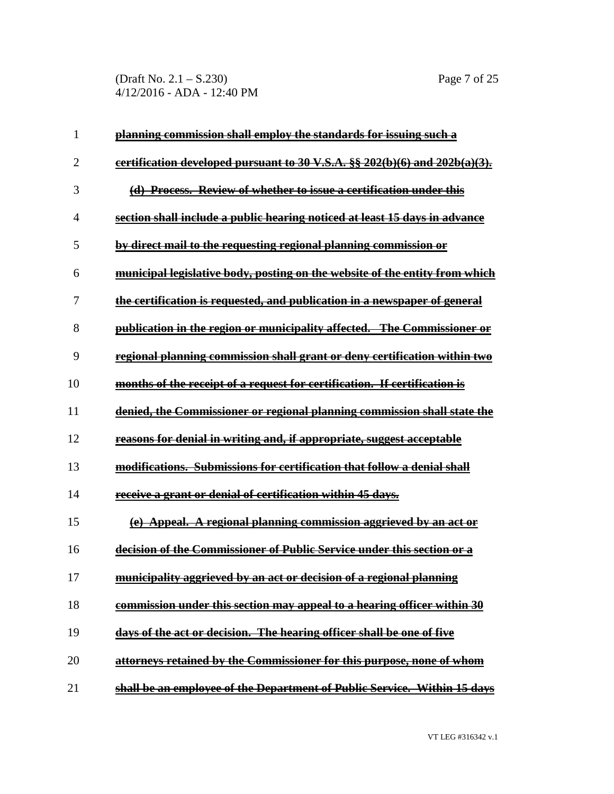(Draft No. 2.1 – S.230) Page 7 of 25 4/12/2016 - ADA - 12:40 PM

| 1              | planning commission shall employ the standards for issuing such a                      |
|----------------|----------------------------------------------------------------------------------------|
| $\overline{2}$ | certification developed pursuant to 30 V.S.A. $\S$ $\S$ $202(b)(6)$ and $202b(a)(3)$ . |
| 3              | (d) Process. Review of whether to issue a certification under this                     |
| $\overline{4}$ | section shall include a public hearing noticed at least 15 days in advance             |
| 5              | by direct mail to the requesting regional planning commission or                       |
| 6              | municipal legislative body, posting on the website of the entity from which            |
| 7              | <u>the certification is requested, and publication in a newspaper of general</u>       |
| 8              | publication in the region or municipality affected. The Commissioner or                |
| 9              | regional planning commission shall grant or deny certification within two              |
| 10             | months of the receipt of a request for certification. If certification is              |
| 11             | denied, the Commissioner or regional planning commission shall state the               |
| 12             | reasons for denial in writing and, if appropriate, suggest acceptable                  |
| 13             | modifications. Submissions for certification that follow a denial shall                |
| 14             | receive a grant or denial of certification within 45 days.                             |
| 15             | (e) Appeal. A regional planning commission aggrieved by an act or                      |
| 16             | decision of the Commissioner of Public Service under this section or a                 |
| 17             | municipality aggrieved by an act or decision of a regional planning                    |
| 18             | commission under this section may appeal to a hearing officer within 30                |
| 19             | days of the act or decision. The hearing officer shall be one of five                  |
| 20             | attorneys retained by the Commissioner for this purpose, none of whom                  |
| 21             | shall be an employee of the Department of Public Service. Within 15 days               |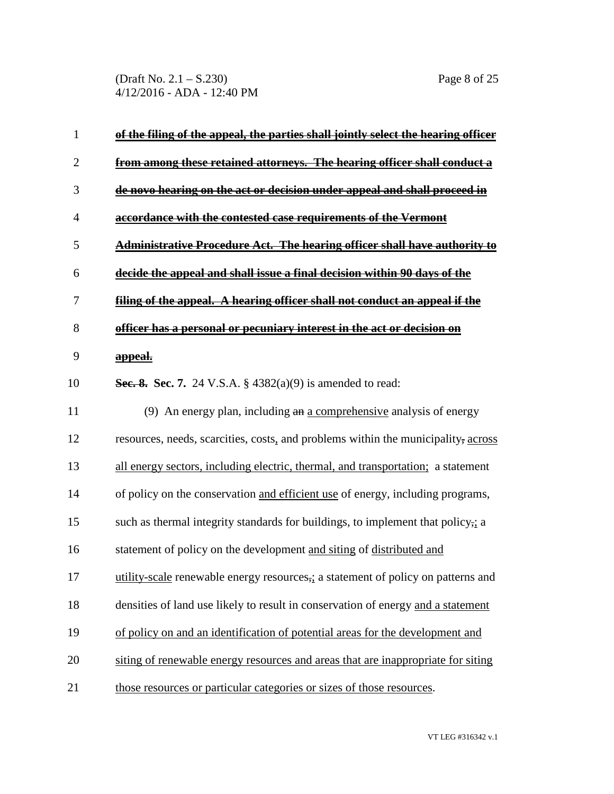(Draft No. 2.1 – S.230) Page 8 of 25 4/12/2016 - ADA - 12:40 PM

| $\mathbf{1}$   | <u>of the filing of the appeal, the parties shall jointly select the hearing officer</u> |
|----------------|------------------------------------------------------------------------------------------|
| 2              | from among these retained attorneys. The hearing officer shall conduct a                 |
| 3              | de novo hearing on the act or decision under appeal and shall proceed in                 |
| $\overline{4}$ | accordance with the contested case requirements of the Vermont                           |
| 5              | <b>Administrative Procedure Act. The hearing officer shall have authority to</b>         |
| 6              | decide the appeal and shall issue a final decision within 90 days of the                 |
| 7              | filing of the appeal. A hearing officer shall not conduct an appeal if the               |
| 8              | officer has a personal or pecuniary interest in the act or decision on                   |
| 9              | <u>appeal.</u>                                                                           |
| 10             | <b>Sec. 8. Sec. 7.</b> 24 V.S.A. § 4382(a)(9) is amended to read:                        |
| 11             | (9) An energy plan, including $an \underline{a}$ comprehensive analysis of energy        |
| 12             | resources, needs, scarcities, costs, and problems within the municipality, across        |
| 13             | all energy sectors, including electric, thermal, and transportation; a statement         |
| 14             | of policy on the conservation and efficient use of energy, including programs,           |
| 15             | such as thermal integrity standards for buildings, to implement that policy,; a          |
| 16             | statement of policy on the development and siting of distributed and                     |
| 17             | utility-scale renewable energy resources,; a statement of policy on patterns and         |
| 18             | densities of land use likely to result in conservation of energy and a statement         |
| 19             | of policy on and an identification of potential areas for the development and            |
| 20             | siting of renewable energy resources and areas that are inappropriate for siting         |
| 21             | those resources or particular categories or sizes of those resources.                    |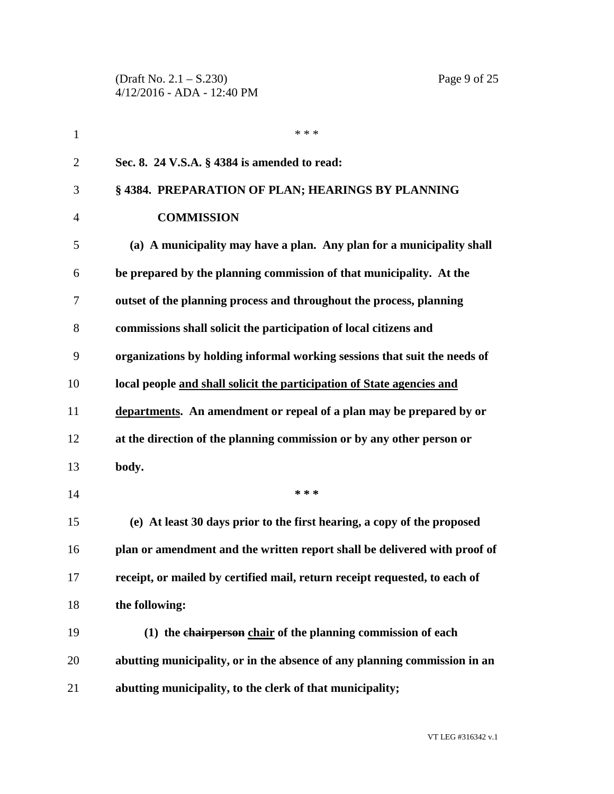(Draft No. 2.1 – S.230) Page 9 of 25 4/12/2016 - ADA - 12:40 PM

| $\mathbf{1}$   | * * *                                                                      |
|----------------|----------------------------------------------------------------------------|
| $\overline{2}$ | Sec. 8. 24 V.S.A. § 4384 is amended to read:                               |
| 3              | §4384. PREPARATION OF PLAN; HEARINGS BY PLANNING                           |
| $\overline{4}$ | <b>COMMISSION</b>                                                          |
| 5              | (a) A municipality may have a plan. Any plan for a municipality shall      |
| 6              | be prepared by the planning commission of that municipality. At the        |
| 7              | outset of the planning process and throughout the process, planning        |
| 8              | commissions shall solicit the participation of local citizens and          |
| 9              | organizations by holding informal working sessions that suit the needs of  |
| 10             | local people and shall solicit the participation of State agencies and     |
| 11             | departments. An amendment or repeal of a plan may be prepared by or        |
| 12             | at the direction of the planning commission or by any other person or      |
| 13             | body.                                                                      |
| 14             | * * *                                                                      |
| 15             | (e) At least 30 days prior to the first hearing, a copy of the proposed    |
| 16             | plan or amendment and the written report shall be delivered with proof of  |
| 17             | receipt, or mailed by certified mail, return receipt requested, to each of |
| 18             | the following:                                                             |
| 19             | (1) the chairperson chair of the planning commission of each               |
| 20             | abutting municipality, or in the absence of any planning commission in an  |
| 21             | abutting municipality, to the clerk of that municipality;                  |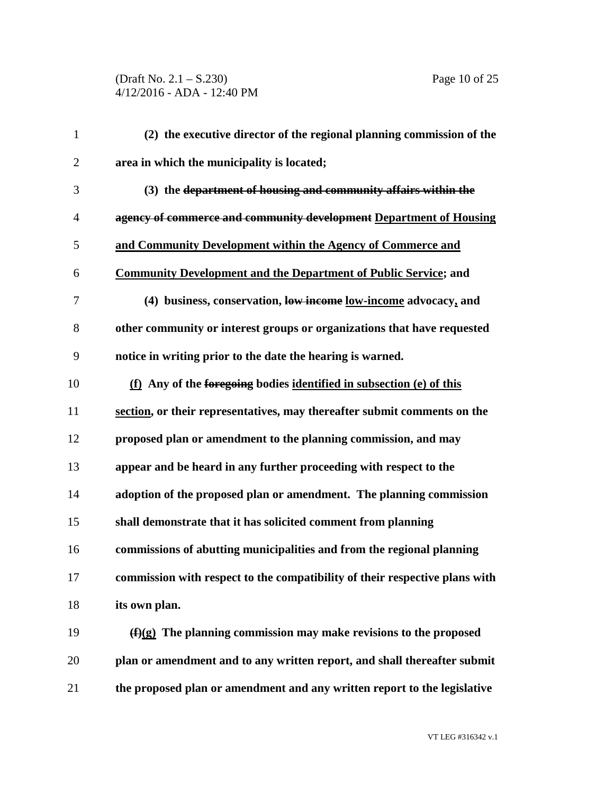| $\mathbf{1}$   | (2) the executive director of the regional planning commission of the       |
|----------------|-----------------------------------------------------------------------------|
| $\mathfrak{2}$ | area in which the municipality is located;                                  |
| 3              | (3) the department of housing and community affairs within the              |
| 4              | agency of commerce and community development Department of Housing          |
| 5              | and Community Development within the Agency of Commerce and                 |
| 6              | <b>Community Development and the Department of Public Service; and</b>      |
| 7              | (4) business, conservation, low income low-income advocacy, and             |
| $8\,$          | other community or interest groups or organizations that have requested     |
| 9              | notice in writing prior to the date the hearing is warned.                  |
| 10             | (f) Any of the foregoing bodies identified in subsection (e) of this        |
| 11             | section, or their representatives, may thereafter submit comments on the    |
| 12             | proposed plan or amendment to the planning commission, and may              |
| 13             | appear and be heard in any further proceeding with respect to the           |
| 14             | adoption of the proposed plan or amendment. The planning commission         |
| 15             | shall demonstrate that it has solicited comment from planning               |
| 16             | commissions of abutting municipalities and from the regional planning       |
| 17             | commission with respect to the compatibility of their respective plans with |
| 18             | its own plan.                                                               |
| 19             | $(f)(g)$ The planning commission may make revisions to the proposed         |
| 20             | plan or amendment and to any written report, and shall thereafter submit    |
| 21             | the proposed plan or amendment and any written report to the legislative    |

VT LEG #316342 v.1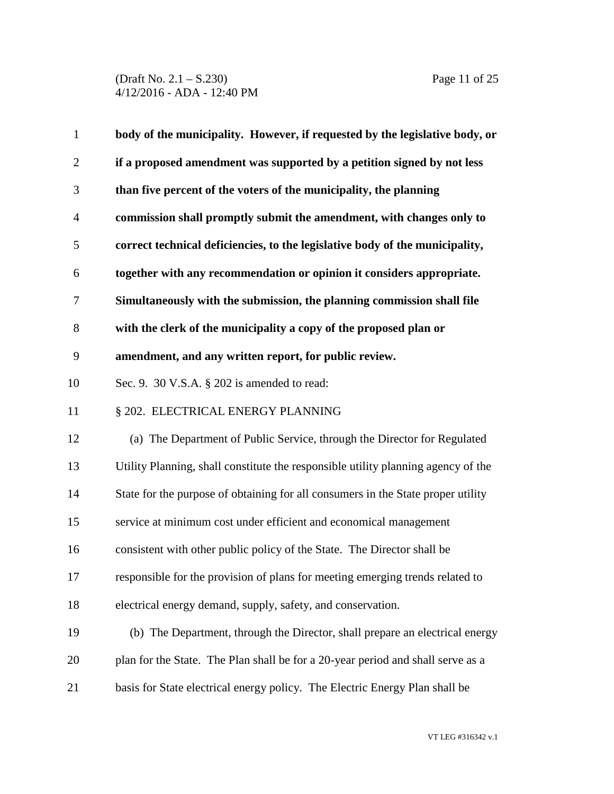(Draft No. 2.1 – S.230) Page 11 of 25 4/12/2016 - ADA - 12:40 PM

| $\mathbf{1}$   | body of the municipality. However, if requested by the legislative body, or       |
|----------------|-----------------------------------------------------------------------------------|
| $\overline{2}$ | if a proposed amendment was supported by a petition signed by not less            |
| 3              | than five percent of the voters of the municipality, the planning                 |
| $\overline{4}$ | commission shall promptly submit the amendment, with changes only to              |
| 5              | correct technical deficiencies, to the legislative body of the municipality,      |
| 6              | together with any recommendation or opinion it considers appropriate.             |
| $\overline{7}$ | Simultaneously with the submission, the planning commission shall file            |
| $8\,$          | with the clerk of the municipality a copy of the proposed plan or                 |
| 9              | amendment, and any written report, for public review.                             |
| 10             | Sec. 9. 30 V.S.A. § 202 is amended to read:                                       |
| 11             | § 202. ELECTRICAL ENERGY PLANNING                                                 |
| 12             | (a) The Department of Public Service, through the Director for Regulated          |
| 13             | Utility Planning, shall constitute the responsible utility planning agency of the |
| 14             | State for the purpose of obtaining for all consumers in the State proper utility  |
| 15             | service at minimum cost under efficient and economical management                 |
| 16             | consistent with other public policy of the State. The Director shall be           |
| 17             | responsible for the provision of plans for meeting emerging trends related to     |
| 18             | electrical energy demand, supply, safety, and conservation.                       |
| 19             | (b) The Department, through the Director, shall prepare an electrical energy      |
| 20             | plan for the State. The Plan shall be for a 20-year period and shall serve as a   |
| 21             | basis for State electrical energy policy. The Electric Energy Plan shall be       |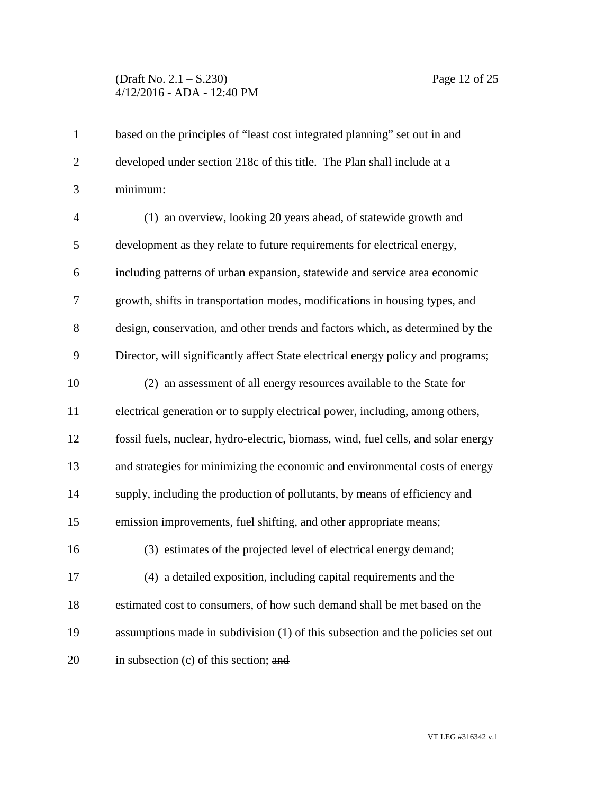## (Draft No. 2.1 – S.230) Page 12 of 25 4/12/2016 - ADA - 12:40 PM

| $\mathbf{1}$   | based on the principles of "least cost integrated planning" set out in and         |
|----------------|------------------------------------------------------------------------------------|
| $\overline{2}$ | developed under section 218c of this title. The Plan shall include at a            |
| 3              | minimum:                                                                           |
| $\overline{4}$ | (1) an overview, looking 20 years ahead, of statewide growth and                   |
| 5              | development as they relate to future requirements for electrical energy,           |
| 6              | including patterns of urban expansion, statewide and service area economic         |
| $\tau$         | growth, shifts in transportation modes, modifications in housing types, and        |
| 8              | design, conservation, and other trends and factors which, as determined by the     |
| 9              | Director, will significantly affect State electrical energy policy and programs;   |
| 10             | (2) an assessment of all energy resources available to the State for               |
| 11             | electrical generation or to supply electrical power, including, among others,      |
| 12             | fossil fuels, nuclear, hydro-electric, biomass, wind, fuel cells, and solar energy |
| 13             | and strategies for minimizing the economic and environmental costs of energy       |
| 14             | supply, including the production of pollutants, by means of efficiency and         |
| 15             | emission improvements, fuel shifting, and other appropriate means;                 |
| 16             | (3) estimates of the projected level of electrical energy demand;                  |
| 17             | (4) a detailed exposition, including capital requirements and the                  |
| 18             | estimated cost to consumers, of how such demand shall be met based on the          |
| 19             | assumptions made in subdivision (1) of this subsection and the policies set out    |
| 20             | in subsection (c) of this section; and                                             |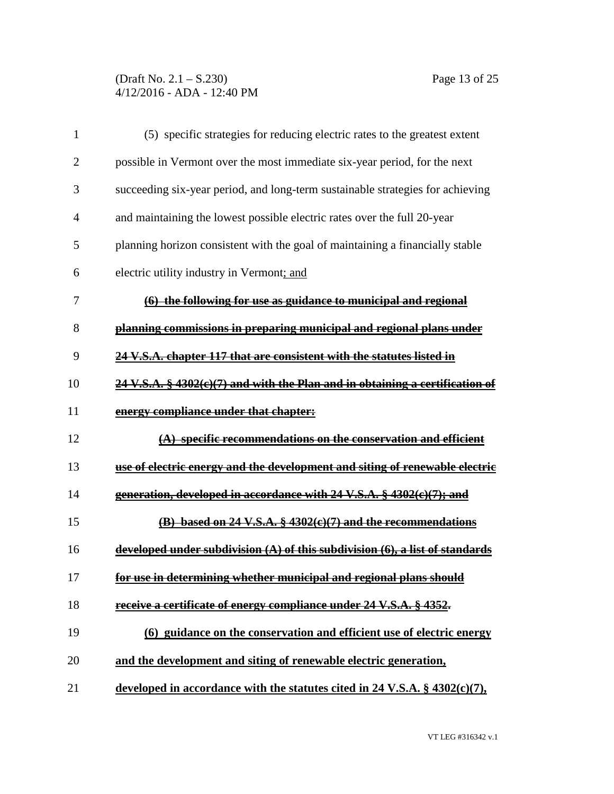(Draft No. 2.1 – S.230) Page 13 of 25 4/12/2016 - ADA - 12:40 PM

| $\mathbf{1}$   | (5) specific strategies for reducing electric rates to the greatest extent               |
|----------------|------------------------------------------------------------------------------------------|
| $\overline{2}$ | possible in Vermont over the most immediate six-year period, for the next                |
| 3              | succeeding six-year period, and long-term sustainable strategies for achieving           |
| $\overline{4}$ | and maintaining the lowest possible electric rates over the full 20-year                 |
| 5              | planning horizon consistent with the goal of maintaining a financially stable            |
| 6              | electric utility industry in Vermont; and                                                |
| 7              | (6) the following for use as guidance to municipal and regional                          |
| 8              | planning commissions in preparing municipal and regional plans under                     |
| 9              | 24 V.S.A. chapter 117 that are consistent with the statutes listed in                    |
| 10             | 24 V.S.A. § 4302(e)(7) and with the Plan and in obtaining a certification of             |
| 11             | energy compliance under that chapter:                                                    |
| 12             | $(A)$ specific recommendations on the conservation and efficient                         |
| 13             | use of electric energy and the development and siting of renewable electric              |
| 14             | generation, developed in accordance with 24 V.S.A. § 4302(c)(7); and                     |
| 15             | $(B)$ based on 24 V.S.A. § 4302(c)(7) and the recommendations                            |
| 16             | developed under subdivision $(A)$ of this subdivision $(6)$ , a list of standards        |
| 17             | for use in determining whether municipal and regional plans should                       |
| 18             | receive a certificate of energy compliance under 24 V.S.A. § 4352.                       |
| 19             | (6) guidance on the conservation and efficient use of electric energy                    |
| 20             | and the development and siting of renewable electric generation,                         |
| 21             | developed in accordance with the statutes cited in $24 \text{ V.S.A.}$ \$ $4302(c)(7)$ , |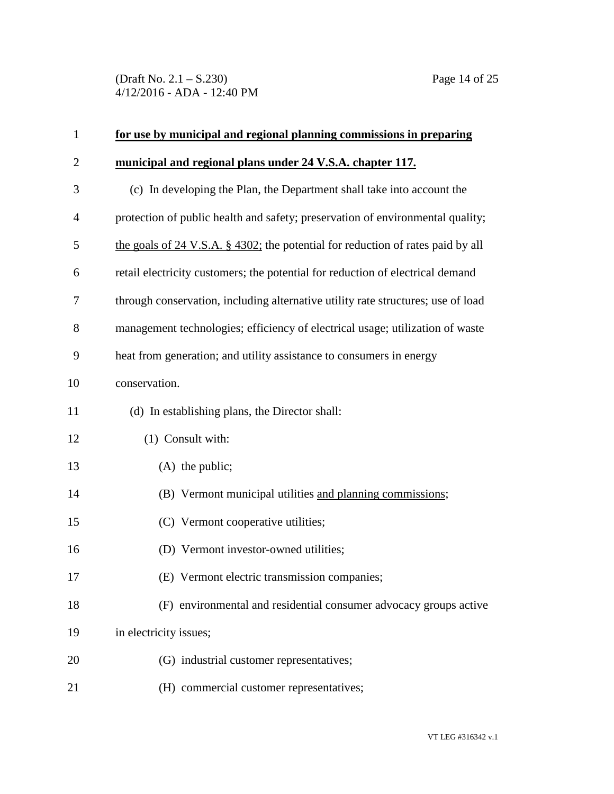(Draft No. 2.1 – S.230) Page 14 of 25 4/12/2016 - ADA - 12:40 PM

| $\mathbf{1}$   | for use by municipal and regional planning commissions in preparing                  |
|----------------|--------------------------------------------------------------------------------------|
| $\overline{2}$ | municipal and regional plans under 24 V.S.A. chapter 117.                            |
| 3              | (c) In developing the Plan, the Department shall take into account the               |
| $\overline{4}$ | protection of public health and safety; preservation of environmental quality;       |
| 5              | the goals of $24$ V.S.A. § $4302$ ; the potential for reduction of rates paid by all |
| 6              | retail electricity customers; the potential for reduction of electrical demand       |
| 7              | through conservation, including alternative utility rate structures; use of load     |
| 8              | management technologies; efficiency of electrical usage; utilization of waste        |
| 9              | heat from generation; and utility assistance to consumers in energy                  |
| 10             | conservation.                                                                        |
| 11             | (d) In establishing plans, the Director shall:                                       |
| 12             | (1) Consult with:                                                                    |
| 13             | $(A)$ the public;                                                                    |
| 14             | (B) Vermont municipal utilities and planning commissions;                            |
| 15             | (C) Vermont cooperative utilities;                                                   |
| 16             | (D) Vermont investor-owned utilities;                                                |
| 17             | (E) Vermont electric transmission companies;                                         |
| 18             | (F) environmental and residential consumer advocacy groups active                    |
| 19             | in electricity issues;                                                               |
| 20             | (G) industrial customer representatives;                                             |
| 21             | (H) commercial customer representatives;                                             |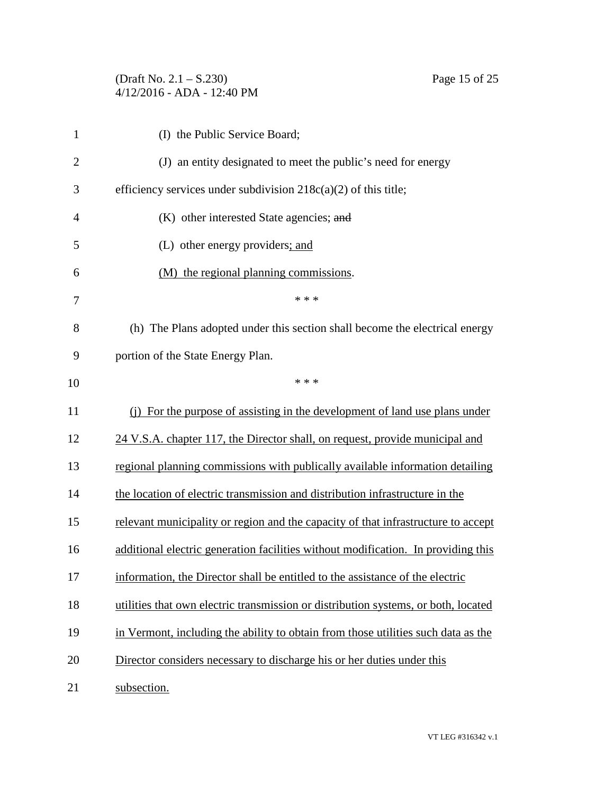(Draft No. 2.1 – S.230) Page 15 of 25 4/12/2016 - ADA - 12:40 PM

| 1              | (I) the Public Service Board;                                                      |
|----------------|------------------------------------------------------------------------------------|
| $\overline{2}$ | (J) an entity designated to meet the public's need for energy                      |
| 3              | efficiency services under subdivision $218c(a)(2)$ of this title;                  |
| 4              | (K) other interested State agencies; and                                           |
| 5              | (L) other energy providers; and                                                    |
| 6              | (M) the regional planning commissions.                                             |
| 7              | * * *                                                                              |
| 8              | (h) The Plans adopted under this section shall become the electrical energy        |
| 9              | portion of the State Energy Plan.                                                  |
| 10             | * * *                                                                              |
| 11             | (i) For the purpose of assisting in the development of land use plans under        |
| 12             | 24 V.S.A. chapter 117, the Director shall, on request, provide municipal and       |
| 13             | regional planning commissions with publically available information detailing      |
| 14             | the location of electric transmission and distribution infrastructure in the       |
| 15             | relevant municipality or region and the capacity of that infrastructure to accept  |
| 16             | additional electric generation facilities without modification. In providing this  |
| 17             | information, the Director shall be entitled to the assistance of the electric      |
| 18             | utilities that own electric transmission or distribution systems, or both, located |
| 19             | in Vermont, including the ability to obtain from those utilities such data as the  |
| 20             | Director considers necessary to discharge his or her duties under this             |
| 21             | subsection.                                                                        |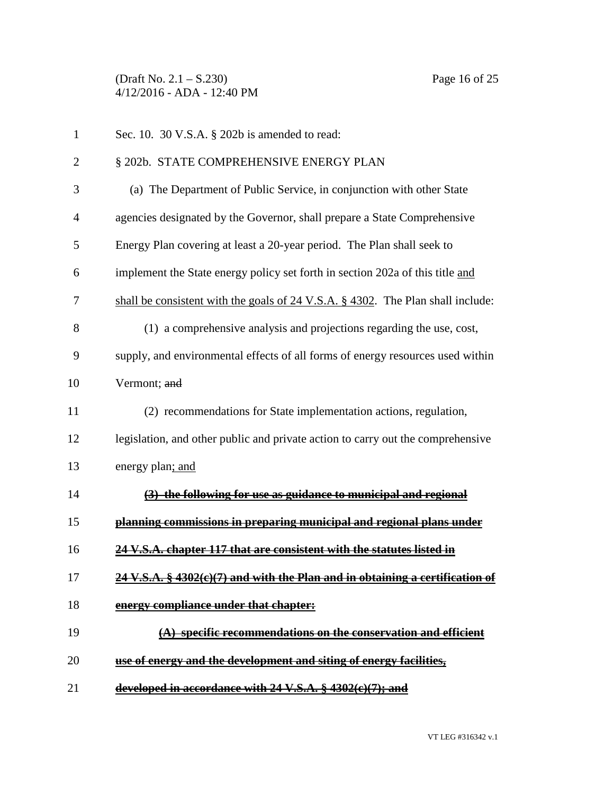(Draft No. 2.1 – S.230) Page 16 of 25 4/12/2016 - ADA - 12:40 PM

| $\mathbf{1}$   | Sec. 10. 30 V.S.A. § 202b is amended to read:                                     |
|----------------|-----------------------------------------------------------------------------------|
| $\overline{2}$ | § 202b. STATE COMPREHENSIVE ENERGY PLAN                                           |
| 3              | (a) The Department of Public Service, in conjunction with other State             |
| $\overline{4}$ | agencies designated by the Governor, shall prepare a State Comprehensive          |
| 5              | Energy Plan covering at least a 20-year period. The Plan shall seek to            |
| 6              | implement the State energy policy set forth in section 202a of this title and     |
| 7              | shall be consistent with the goals of $24$ V.S.A. § 4302. The Plan shall include: |
| 8              | (1) a comprehensive analysis and projections regarding the use, cost,             |
| 9              | supply, and environmental effects of all forms of energy resources used within    |
| 10             | Vermont; and                                                                      |
| 11             | (2) recommendations for State implementation actions, regulation,                 |
| 12             | legislation, and other public and private action to carry out the comprehensive   |
| 13             | energy plan; and                                                                  |
| 14             | (3) the following for use as guidance to municipal and regional                   |
| 15             | planning commissions in preparing municipal and regional plans under              |
| 16             | 24 V.S.A. chapter 117 that are consistent with the statutes listed in             |
| 17             | 24 V.S.A. § 4302(e)(7) and with the Plan and in obtaining a certification of      |
| 18             | energy compliance under that chapter:                                             |
| 19             | $(A)$ specific recommendations on the conservation and efficient                  |
| 20             | use of energy and the development and siting of energy facilities,                |
| 21             | developed in accordance with $24 \text{ V.S.A.}$ $\S$ 4302(e)(7); and             |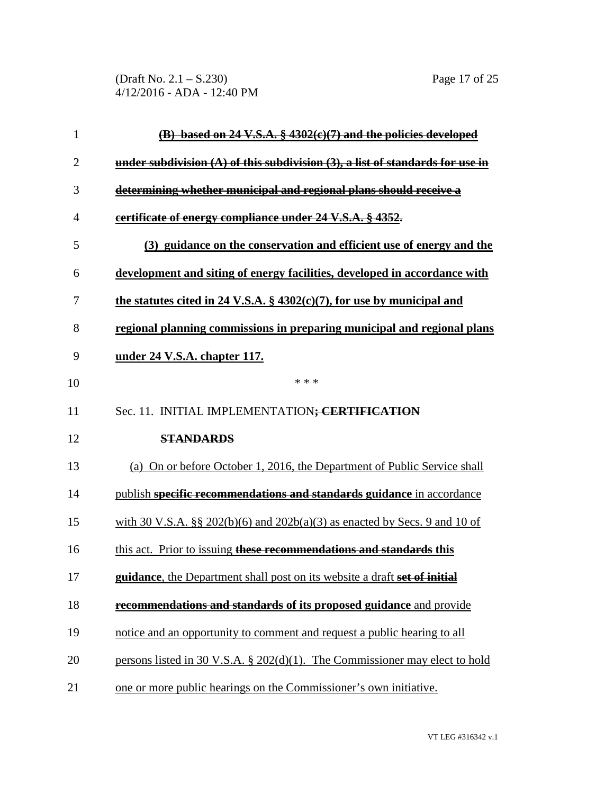(Draft No. 2.1 – S.230) Page 17 of 25 4/12/2016 - ADA - 12:40 PM

| $\mathbf{1}$   | (B) based on 24 V.S.A. § 4302(e)(7) and the policies developed                     |
|----------------|------------------------------------------------------------------------------------|
| $\overline{2}$ | under subdivision $(A)$ of this subdivision $(3)$ , a list of standards for use in |
| 3              | determining whether municipal and regional plans should receive a                  |
| $\overline{4}$ | certificate of energy compliance under 24 V.S.A. § 4352.                           |
| 5              | (3) guidance on the conservation and efficient use of energy and the               |
| 6              | development and siting of energy facilities, developed in accordance with          |
| 7              | the statutes cited in 24 V.S.A. $\S$ 4302(c)(7), for use by municipal and          |
| 8              | regional planning commissions in preparing municipal and regional plans            |
| 9              | under 24 V.S.A. chapter 117.                                                       |
| 10             | * * *                                                                              |
| 11             | Sec. 11. INITIAL IMPLEMENTATION; CERTIFICATION                                     |
| 12             | <b>STANDARDS</b>                                                                   |
| 13             | (a) On or before October 1, 2016, the Department of Public Service shall           |
| 14             | publish specific recommendations and standards guidance in accordance              |
| 15             | with 30 V.S.A. §§ 202(b)(6) and 202b(a)(3) as enacted by Secs. 9 and 10 of         |
| 16             | this act. Prior to issuing these recommendations and standards this                |
| 17             | guidance, the Department shall post on its website a draft set of initial          |
| 18             | recommendations and standards of its proposed guidance and provide                 |
| 19             | notice and an opportunity to comment and request a public hearing to all           |
| 20             | persons listed in 30 V.S.A. $\S$ 202(d)(1). The Commissioner may elect to hold     |
| 21             | one or more public hearings on the Commissioner's own initiative.                  |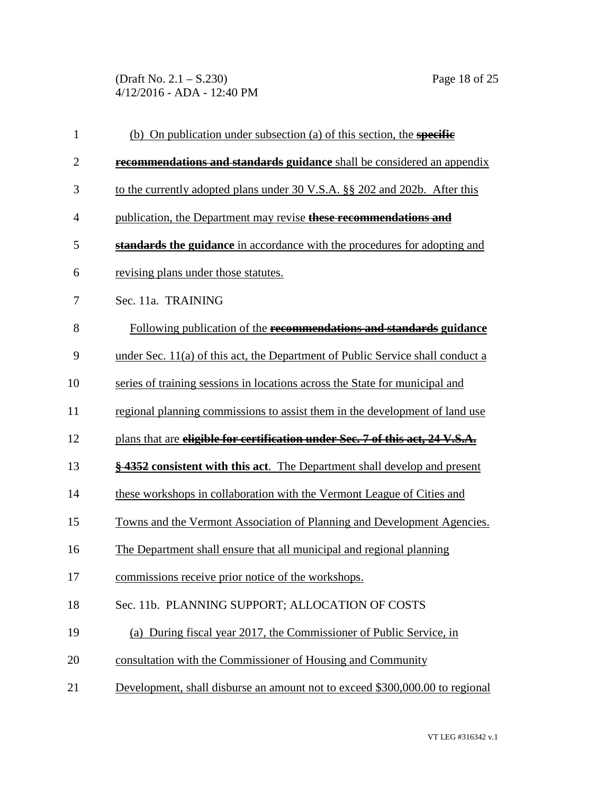(Draft No. 2.1 – S.230) Page 18 of 25 4/12/2016 - ADA - 12:40 PM

| $\mathbf{1}$   | (b) On publication under subsection (a) of this section, the <b>specific</b>   |
|----------------|--------------------------------------------------------------------------------|
| $\mathbf{2}$   | recommendations and standards guidance shall be considered an appendix         |
| 3              | to the currently adopted plans under 30 V.S.A. §§ 202 and 202b. After this     |
| $\overline{4}$ | publication, the Department may revise these recommendations and               |
| 5              | standards the guidance in accordance with the procedures for adopting and      |
| 6              | revising plans under those statutes.                                           |
| 7              | Sec. 11a. TRAINING                                                             |
| 8              | Following publication of the recommendations and standards guidance            |
| 9              | under Sec. 11(a) of this act, the Department of Public Service shall conduct a |
| 10             | series of training sessions in locations across the State for municipal and    |
| 11             | regional planning commissions to assist them in the development of land use    |
| 12             | plans that are eligible for certification under Sec. 7 of this act, 24 V.S.A.  |
| 13             | §4352 consistent with this act. The Department shall develop and present       |
| 14             | these workshops in collaboration with the Vermont League of Cities and         |
| 15             | Towns and the Vermont Association of Planning and Development Agencies.        |
| 16             | The Department shall ensure that all municipal and regional planning           |
| 17             | commissions receive prior notice of the workshops.                             |
| 18             | Sec. 11b. PLANNING SUPPORT; ALLOCATION OF COSTS                                |
| 19             | (a) During fiscal year 2017, the Commissioner of Public Service, in            |
| 20             | consultation with the Commissioner of Housing and Community                    |
| 21             | Development, shall disburse an amount not to exceed \$300,000.00 to regional   |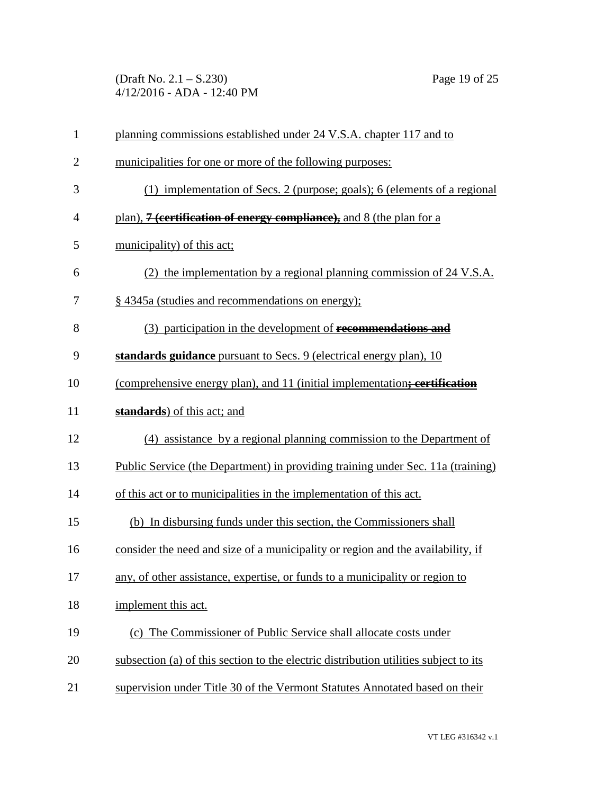(Draft No. 2.1 – S.230) Page 19 of 25 4/12/2016 - ADA - 12:40 PM

| $\mathbf{1}$   | planning commissions established under 24 V.S.A. chapter 117 and to                  |
|----------------|--------------------------------------------------------------------------------------|
| $\overline{2}$ | municipalities for one or more of the following purposes:                            |
| 3              | (1) implementation of Secs. 2 (purpose; goals); 6 (elements of a regional            |
| $\overline{4}$ | plan), 7 (certification of energy compliance), and 8 (the plan for a                 |
| 5              | municipality) of this act;                                                           |
| 6              | (2) the implementation by a regional planning commission of 24 V.S.A.                |
| 7              | § 4345a (studies and recommendations on energy);                                     |
| 8              | (3) participation in the development of recommendations and                          |
| 9              | standards guidance pursuant to Secs. 9 (electrical energy plan), 10                  |
| 10             | (comprehensive energy plan), and 11 (initial implementation; certification           |
| 11             | <b>standards</b> ) of this act; and                                                  |
| 12             | (4) assistance by a regional planning commission to the Department of                |
| 13             | Public Service (the Department) in providing training under Sec. 11a (training)      |
| 14             | of this act or to municipalities in the implementation of this act.                  |
| 15             | (b) In disbursing funds under this section, the Commissioners shall                  |
| 16             | consider the need and size of a municipality or region and the availability, if      |
| 17             | any, of other assistance, expertise, or funds to a municipality or region to         |
| 18             | implement this act.                                                                  |
| 19             | (c) The Commissioner of Public Service shall allocate costs under                    |
| 20             | subsection (a) of this section to the electric distribution utilities subject to its |
| 21             | supervision under Title 30 of the Vermont Statutes Annotated based on their          |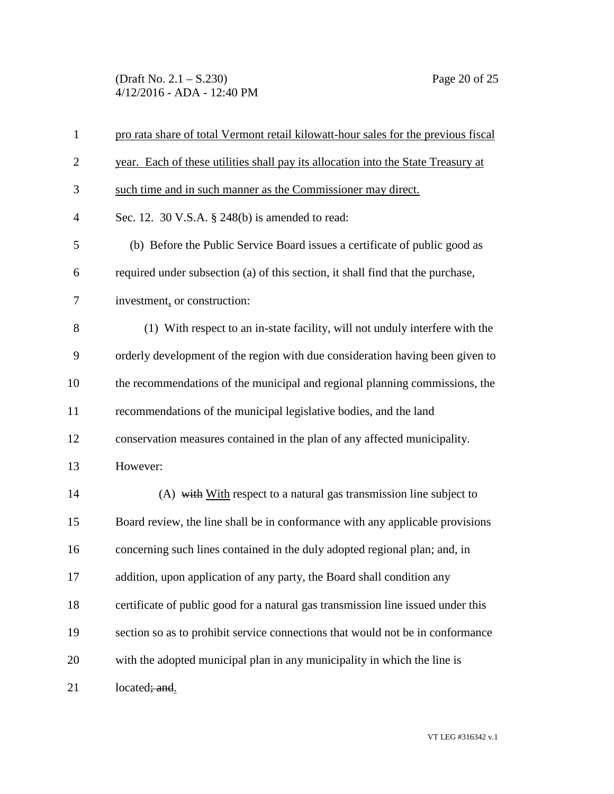(Draft No. 2.1 – S.230) Page 20 of 25 4/12/2016 - ADA - 12:40 PM

| $\mathbf{1}$   | pro rata share of total Vermont retail kilowatt-hour sales for the previous fiscal |
|----------------|------------------------------------------------------------------------------------|
| $\overline{2}$ | year. Each of these utilities shall pay its allocation into the State Treasury at  |
| 3              | such time and in such manner as the Commissioner may direct.                       |
| $\overline{4}$ | Sec. 12. 30 V.S.A. $\S$ 248(b) is amended to read:                                 |
| 5              | (b) Before the Public Service Board issues a certificate of public good as         |
| 6              | required under subsection (a) of this section, it shall find that the purchase,    |
| 7              | investment, or construction:                                                       |
| 8              | (1) With respect to an in-state facility, will not unduly interfere with the       |
| 9              | orderly development of the region with due consideration having been given to      |
| 10             | the recommendations of the municipal and regional planning commissions, the        |
| 11             | recommendations of the municipal legislative bodies, and the land                  |
| 12             | conservation measures contained in the plan of any affected municipality.          |
| 13             | However:                                                                           |
| 14             | (A) with With respect to a natural gas transmission line subject to                |
| 15             | Board review, the line shall be in conformance with any applicable provisions      |
| 16             | concerning such lines contained in the duly adopted regional plan; and, in         |
| 17             | addition, upon application of any party, the Board shall condition any             |
| 18             | certificate of public good for a natural gas transmission line issued under this   |
| 19             | section so as to prohibit service connections that would not be in conformance     |
| 20             | with the adopted municipal plan in any municipality in which the line is           |
| 21             | located; and.                                                                      |

VT LEG #316342 v.1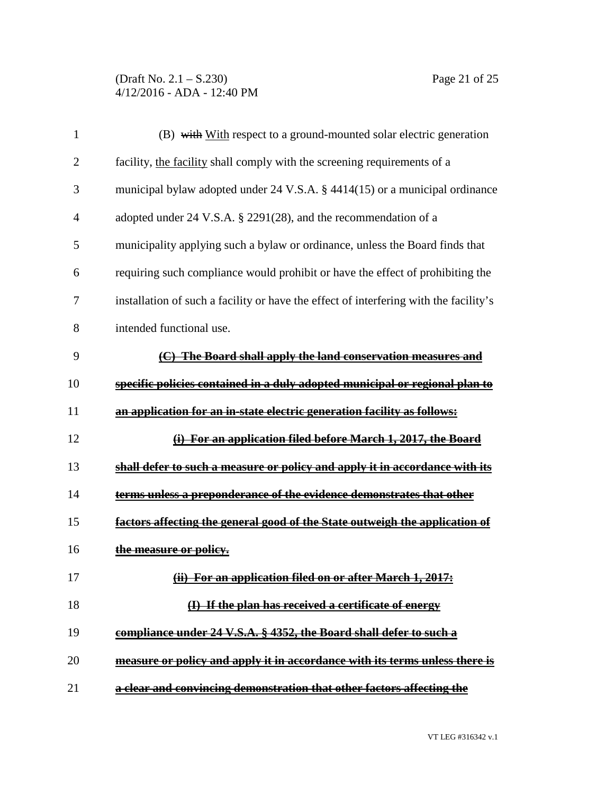(Draft No. 2.1 – S.230) Page 21 of 25 4/12/2016 - ADA - 12:40 PM

| $\mathbf{1}$   | (B) with With respect to a ground-mounted solar electric generation                   |
|----------------|---------------------------------------------------------------------------------------|
| $\overline{2}$ | facility, the facility shall comply with the screening requirements of a              |
| 3              | municipal bylaw adopted under 24 V.S.A. § 4414(15) or a municipal ordinance           |
| $\overline{4}$ | adopted under 24 V.S.A. § 2291(28), and the recommendation of a                       |
| 5              | municipality applying such a bylaw or ordinance, unless the Board finds that          |
| 6              | requiring such compliance would prohibit or have the effect of prohibiting the        |
| 7              | installation of such a facility or have the effect of interfering with the facility's |
| 8              | intended functional use.                                                              |
| 9              | (C) The Board shall apply the land conservation measures and                          |
| 10             | specific policies contained in a duly adopted municipal or regional plan to           |
| 11             | an application for an in-state electric generation facility as follows:               |
| 12             | (i) For an application filed before March 1, 2017, the Board                          |
| 13             | shall defer to such a measure or policy and apply it in accordance with its           |
| 14             | terms unless a preponderance of the evidence demonstrates that other                  |
| 15             | factors affecting the general good of the State outweigh the application of           |
| 16             | the measure or policy.                                                                |
| 17             | (ii) For an application filed on or after March 1, 2017:                              |
| 18             | (I) If the plan has received a certificate of energy                                  |
| 19             | compliance under 24 V.S.A. § 4352, the Board shall defer to such a                    |
| 20             | measure or policy and apply it in accordance with its terms unless there is           |
| 21             | a clear and convincing demonstration that other factors affecting the                 |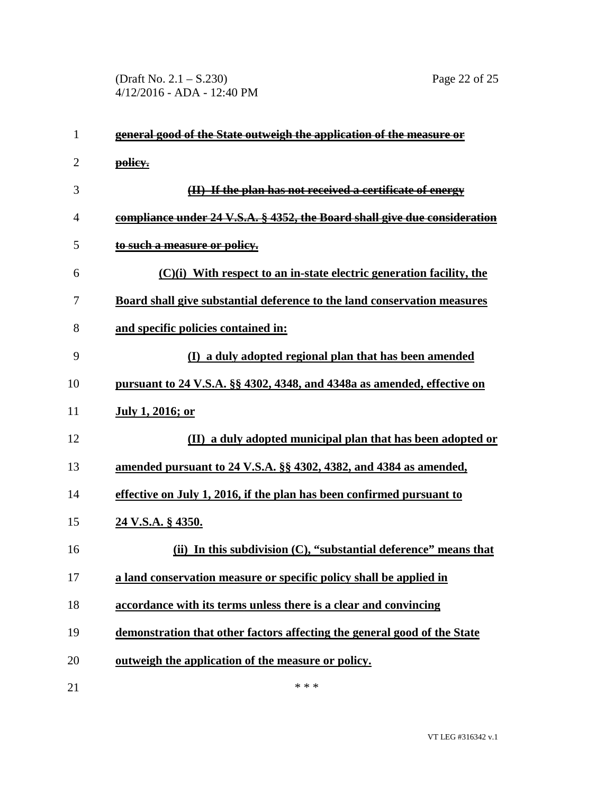(Draft No. 2.1 – S.230) Page 22 of 25 4/12/2016 - ADA - 12:40 PM

| $\mathbf{1}$ | general good of the State outweigh the application of the measure or            |
|--------------|---------------------------------------------------------------------------------|
| 2            | policy.                                                                         |
| 3            | (II) If the plan has not received a certificate of energy                       |
| 4            | compliance under 24 V.S.A. § 4352, the Board shall give due consideration       |
| 5            | to such a measure or policy.                                                    |
| 6            | $(C)(i)$ With respect to an in-state electric generation facility, the          |
| 7            | <b>Board shall give substantial deference to the land conservation measures</b> |
| 8            | and specific policies contained in:                                             |
| 9            | (I) a duly adopted regional plan that has been amended                          |
| 10           | pursuant to 24 V.S.A. §§ 4302, 4348, and 4348a as amended, effective on         |
| 11           | <b>July 1, 2016; or</b>                                                         |
| 12           | (II) a duly adopted municipal plan that has been adopted or                     |
| 13           | amended pursuant to 24 V.S.A. §§ 4302, 4382, and 4384 as amended,               |
| 14           | effective on July 1, 2016, if the plan has been confirmed pursuant to           |
| 15           | 24 V.S.A. § 4350.                                                               |
| 16           | (ii) In this subdivision $(C)$ , "substantial deference" means that             |
| 17           | a land conservation measure or specific policy shall be applied in              |
| 18           | accordance with its terms unless there is a clear and convincing                |
| 19           | demonstration that other factors affecting the general good of the State        |
| 20           | outweigh the application of the measure or policy.                              |
| 21           | * * *                                                                           |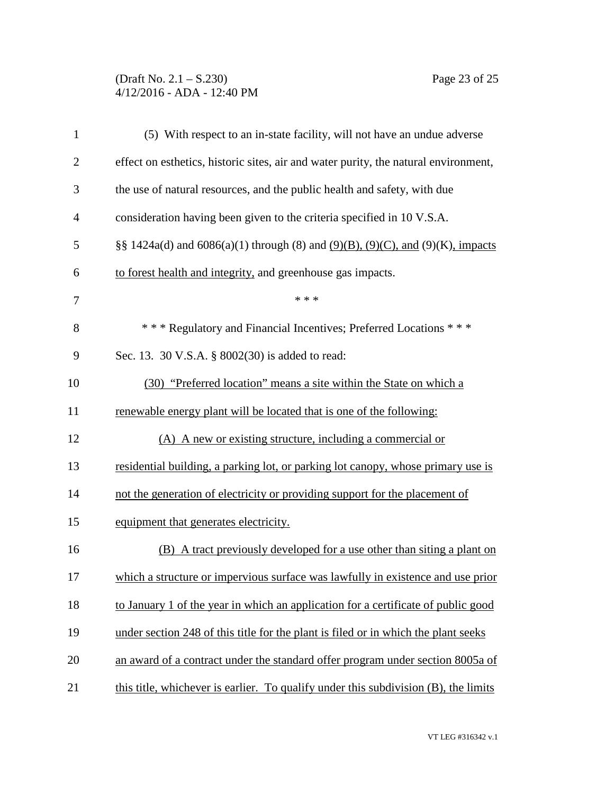## (Draft No. 2.1 – S.230) Page 23 of 25 4/12/2016 - ADA - 12:40 PM

| $\mathbf{1}$   | (5) With respect to an in-state facility, will not have an undue adverse                  |
|----------------|-------------------------------------------------------------------------------------------|
| $\overline{2}$ | effect on esthetics, historic sites, air and water purity, the natural environment,       |
| 3              | the use of natural resources, and the public health and safety, with due                  |
| 4              | consideration having been given to the criteria specified in 10 V.S.A.                    |
| 5              | §§ 1424a(d) and $6086(a)(1)$ through (8) and $(9)(B)$ , $(9)(C)$ , and $(9)(K)$ , impacts |
| 6              | to forest health and integrity, and greenhouse gas impacts.                               |
| 7              | * * *                                                                                     |
| 8              | *** Regulatory and Financial Incentives; Preferred Locations ***                          |
| 9              | Sec. 13. 30 V.S.A. § 8002(30) is added to read:                                           |
| 10             | (30) "Preferred location" means a site within the State on which a                        |
| 11             | renewable energy plant will be located that is one of the following:                      |
| 12             | (A) A new or existing structure, including a commercial or                                |
| 13             | residential building, a parking lot, or parking lot canopy, whose primary use is          |
| 14             | not the generation of electricity or providing support for the placement of               |
| 15             | equipment that generates electricity.                                                     |
| 16             | (B) A tract previously developed for a use other than siting a plant on                   |
| 17             | which a structure or impervious surface was lawfully in existence and use prior           |
| 18             | to January 1 of the year in which an application for a certificate of public good         |
| 19             | under section 248 of this title for the plant is filed or in which the plant seeks        |
| 20             | an award of a contract under the standard offer program under section 8005a of            |
| 21             | this title, whichever is earlier. To qualify under this subdivision (B), the limits       |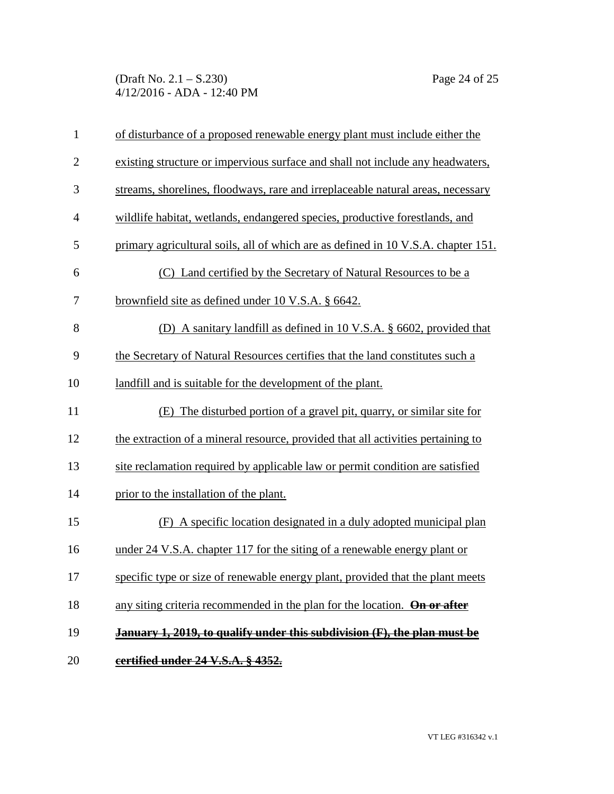(Draft No. 2.1 – S.230) Page 24 of 25 4/12/2016 - ADA - 12:40 PM

| $\mathbf{1}$   | of disturbance of a proposed renewable energy plant must include either the       |
|----------------|-----------------------------------------------------------------------------------|
| $\overline{2}$ | existing structure or impervious surface and shall not include any headwaters,    |
| 3              | streams, shorelines, floodways, rare and irreplaceable natural areas, necessary   |
| $\overline{4}$ | wildlife habitat, wetlands, endangered species, productive forestlands, and       |
| 5              | primary agricultural soils, all of which are as defined in 10 V.S.A. chapter 151. |
| 6              | (C) Land certified by the Secretary of Natural Resources to be a                  |
| $\tau$         | <u>brownfield site as defined under 10 V.S.A. § 6642.</u>                         |
| 8              | (D) A sanitary landfill as defined in 10 V.S.A. § 6602, provided that             |
| 9              | the Secretary of Natural Resources certifies that the land constitutes such a     |
| 10             | landfill and is suitable for the development of the plant.                        |
| 11             | (E) The disturbed portion of a gravel pit, quarry, or similar site for            |
| 12             | the extraction of a mineral resource, provided that all activities pertaining to  |
| 13             | site reclamation required by applicable law or permit condition are satisfied     |
| 14             | prior to the installation of the plant.                                           |
| 15             | (F) A specific location designated in a duly adopted municipal plan               |
| 16             | under 24 V.S.A. chapter 117 for the siting of a renewable energy plant or         |
| 17             | specific type or size of renewable energy plant, provided that the plant meets    |
| 18             | any siting criteria recommended in the plan for the location. On or after         |
| 19             | January 1, 2019, to qualify under this subdivision (F), the plan must be          |
| 20             | certified under 24 V.S.A. § 4352.                                                 |